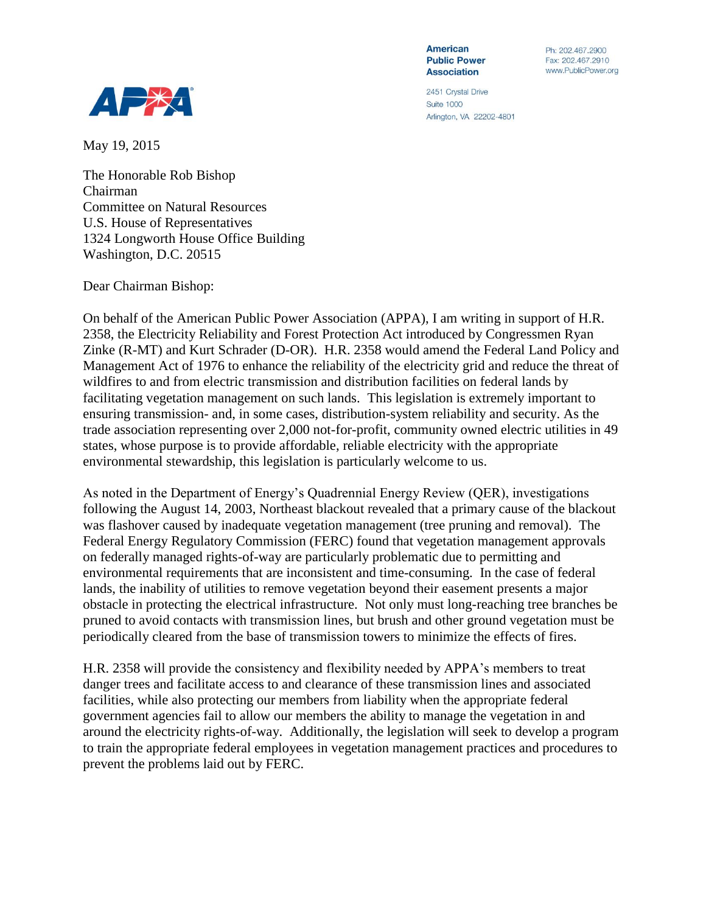

Ph: 202 467 2900 Fax: 202.467.2910 www.PublicPower.org

2451 Crystal Drive **Suite 1000** Arlington, VA 22202-4801

May 19, 2015

The Honorable Rob Bishop Chairman Committee on Natural Resources U.S. House of Representatives 1324 Longworth House Office Building Washington, D.C. 20515

## Dear Chairman Bishop:

On behalf of the American Public Power Association (APPA), I am writing in support of H.R. 2358, the Electricity Reliability and Forest Protection Act introduced by Congressmen Ryan Zinke (R-MT) and Kurt Schrader (D-OR). H.R. 2358 would amend the Federal Land Policy and Management Act of 1976 to enhance the reliability of the electricity grid and reduce the threat of wildfires to and from electric transmission and distribution facilities on federal lands by facilitating vegetation management on such lands. This legislation is extremely important to ensuring transmission- and, in some cases, distribution-system reliability and security. As the trade association representing over 2,000 not-for-profit, community owned electric utilities in 49 states, whose purpose is to provide affordable, reliable electricity with the appropriate environmental stewardship, this legislation is particularly welcome to us.

As noted in the Department of Energy's Quadrennial Energy Review (QER), investigations following the August 14, 2003, Northeast blackout revealed that a primary cause of the blackout was flashover caused by inadequate vegetation management (tree pruning and removal). The Federal Energy Regulatory Commission (FERC) found that vegetation management approvals on federally managed rights-of-way are particularly problematic due to permitting and environmental requirements that are inconsistent and time-consuming. In the case of federal lands, the inability of utilities to remove vegetation beyond their easement presents a major obstacle in protecting the electrical infrastructure. Not only must long-reaching tree branches be pruned to avoid contacts with transmission lines, but brush and other ground vegetation must be periodically cleared from the base of transmission towers to minimize the effects of fires.

H.R. 2358 will provide the consistency and flexibility needed by APPA's members to treat danger trees and facilitate access to and clearance of these transmission lines and associated facilities, while also protecting our members from liability when the appropriate federal government agencies fail to allow our members the ability to manage the vegetation in and around the electricity rights-of-way. Additionally, the legislation will seek to develop a program to train the appropriate federal employees in vegetation management practices and procedures to prevent the problems laid out by FERC.